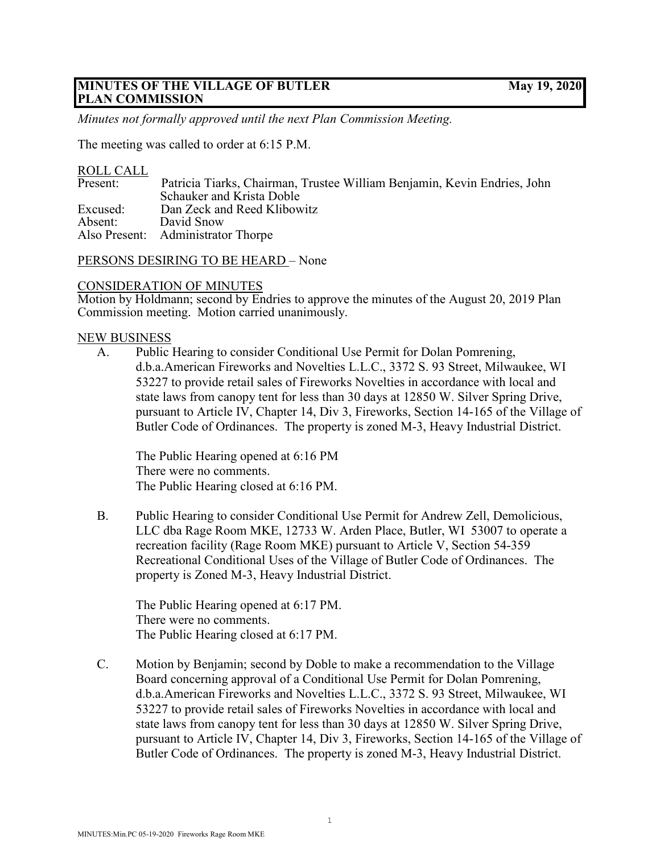## **MINUTES OF THE VILLAGE OF BUTLER May 19, 2020 PLAN COMMISSION**

*Minutes not formally approved until the next Plan Commission Meeting.*

The meeting was called to order at 6:15 P.M.

## ROLL CALL

| Present: | Patricia Tiarks, Chairman, Trustee William Benjamin, Kevin Endries, John |
|----------|--------------------------------------------------------------------------|
|          | Schauker and Krista Doble                                                |
| Excused: | Dan Zeck and Reed Klibowitz                                              |
| Absent:  | David Snow                                                               |
|          | Also Present: Administrator Thorpe                                       |

PERSONS DESIRING TO BE HEARD – None

# CONSIDERATION OF MINUTES

Motion by Holdmann; second by Endries to approve the minutes of the August 20, 2019 Plan Commission meeting. Motion carried unanimously.

## NEW BUSINESS

A. Public Hearing to consider Conditional Use Permit for Dolan Pomrening, d.b.a.American Fireworks and Novelties L.L.C., 3372 S. 93 Street, Milwaukee, WI 53227 to provide retail sales of Fireworks Novelties in accordance with local and state laws from canopy tent for less than 30 days at 12850 W. Silver Spring Drive, pursuant to Article IV, Chapter 14, Div 3, Fireworks, Section 14-165 of the Village of Butler Code of Ordinances. The property is zoned M-3, Heavy Industrial District.

The Public Hearing opened at 6:16 PM There were no comments. The Public Hearing closed at 6:16 PM.

B. Public Hearing to consider Conditional Use Permit for Andrew Zell, Demolicious, LLC dba Rage Room MKE, 12733 W. Arden Place, Butler, WI 53007 to operate a recreation facility (Rage Room MKE) pursuant to Article V, Section 54-359 Recreational Conditional Uses of the Village of Butler Code of Ordinances. The property is Zoned M-3, Heavy Industrial District.

The Public Hearing opened at 6:17 PM. There were no comments. The Public Hearing closed at 6:17 PM.

C. Motion by Benjamin; second by Doble to make a recommendation to the Village Board concerning approval of a Conditional Use Permit for Dolan Pomrening, d.b.a.American Fireworks and Novelties L.L.C., 3372 S. 93 Street, Milwaukee, WI 53227 to provide retail sales of Fireworks Novelties in accordance with local and state laws from canopy tent for less than 30 days at 12850 W. Silver Spring Drive, pursuant to Article IV, Chapter 14, Div 3, Fireworks, Section 14-165 of the Village of Butler Code of Ordinances. The property is zoned M-3, Heavy Industrial District.